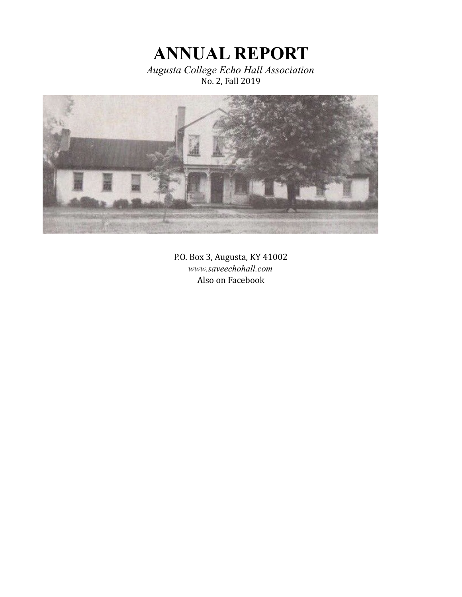**ANNUAL REPORT** *Augusta College Echo Hall Association*

No. 2, Fall 2019



P.O. Box 3, Augusta, KY 41002 *www.saveechohall.com* Also on Facebook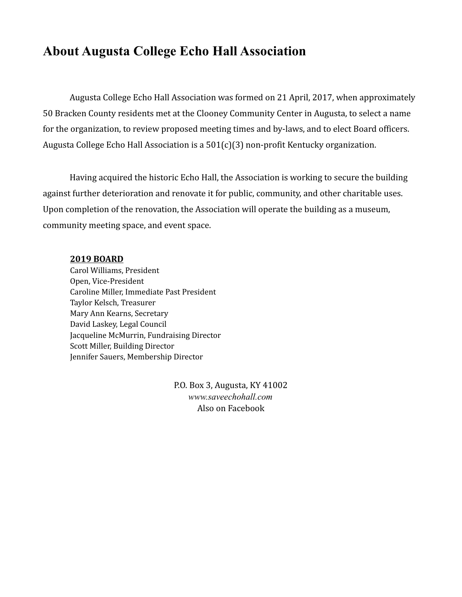## **About Augusta College Echo Hall Association**

Augusta College Echo Hall Association was formed on 21 April, 2017, when approximately 50 Bracken County residents met at the Clooney Community Center in Augusta, to select a name for the organization, to review proposed meeting times and by-laws, and to elect Board officers. Augusta College Echo Hall Association is a 501(c)(3) non-profit Kentucky organization.

Having acquired the historic Echo Hall, the Association is working to secure the building against further deterioration and renovate it for public, community, and other charitable uses. Upon completion of the renovation, the Association will operate the building as a museum, community meeting space, and event space.

#### **2019 BOARD**

Carol Williams, President Open, Vice-President Caroline Miller, Immediate Past President Taylor Kelsch, Treasurer Mary Ann Kearns, Secretary David Laskey, Legal Council Jacqueline McMurrin, Fundraising Director Scott Miller, Building Director Jennifer Sauers, Membership Director

> P.O. Box 3, Augusta, KY 41002 *www.saveechohall.com* Also on Facebook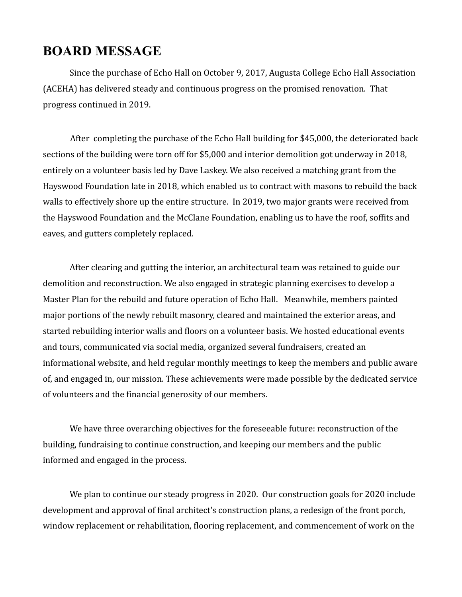## **BOARD MESSAGE**

Since the purchase of Echo Hall on October 9, 2017, Augusta College Echo Hall Association (ACEHA) has delivered steady and continuous progress on the promised renovation. That progress continued in 2019.

After completing the purchase of the Echo Hall building for \$45,000, the deteriorated back sections of the building were torn off for \$5,000 and interior demolition got underway in 2018, entirely on a volunteer basis led by Dave Laskey. We also received a matching grant from the Hayswood Foundation late in 2018, which enabled us to contract with masons to rebuild the back walls to effectively shore up the entire structure. In 2019, two major grants were received from the Hayswood Foundation and the McClane Foundation, enabling us to have the roof, soffits and eaves, and gutters completely replaced.

After clearing and gutting the interior, an architectural team was retained to guide our demolition and reconstruction. We also engaged in strategic planning exercises to develop a Master Plan for the rebuild and future operation of Echo Hall. Meanwhile, members painted major portions of the newly rebuilt masonry, cleared and maintained the exterior areas, and started rebuilding interior walls and floors on a volunteer basis. We hosted educational events and tours, communicated via social media, organized several fundraisers, created an informational website, and held regular monthly meetings to keep the members and public aware of, and engaged in, our mission. These achievements were made possible by the dedicated service of volunteers and the financial generosity of our members.

We have three overarching objectives for the foreseeable future: reconstruction of the building, fundraising to continue construction, and keeping our members and the public informed and engaged in the process.

We plan to continue our steady progress in 2020. Our construction goals for 2020 include development and approval of final architect's construction plans, a redesign of the front porch, window replacement or rehabilitation, flooring replacement, and commencement of work on the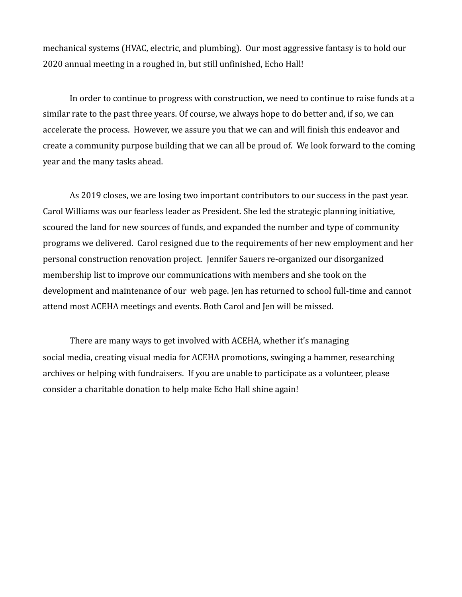mechanical systems (HVAC, electric, and plumbing). Our most aggressive fantasy is to hold our 2020 annual meeting in a roughed in, but still unfinished, Echo Hall!

In order to continue to progress with construction, we need to continue to raise funds at a similar rate to the past three years. Of course, we always hope to do better and, if so, we can accelerate the process. However, we assure you that we can and will finish this endeavor and create a community purpose building that we can all be proud of. We look forward to the coming year and the many tasks ahead.

As 2019 closes, we are losing two important contributors to our success in the past year. Carol Williams was our fearless leader as President. She led the strategic planning initiative, scoured the land for new sources of funds, and expanded the number and type of community programs we delivered. Carol resigned due to the requirements of her new employment and her personal construction renovation project. Jennifer Sauers re-organized our disorganized membership list to improve our communications with members and she took on the development and maintenance of our web page. Jen has returned to school full-time and cannot attend most ACEHA meetings and events. Both Carol and Jen will be missed.

There are many ways to get involved with ACEHA, whether it's managing social media, creating visual media for ACEHA promotions, swinging a hammer, researching archives or helping with fundraisers. If you are unable to participate as a volunteer, please consider a charitable donation to help make Echo Hall shine again!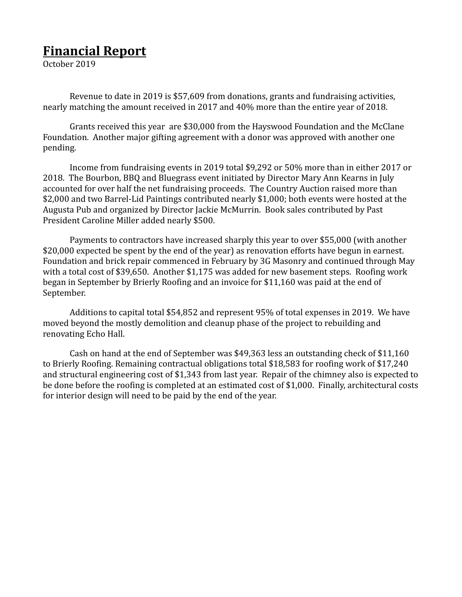# **Financial Report**

October 2019

Revenue to date in 2019 is \$57,609 from donations, grants and fundraising activities, nearly matching the amount received in 2017 and 40% more than the entire year of 2018.

Grants received this year are \$30,000 from the Hayswood Foundation and the McClane Foundation. Another major gifting agreement with a donor was approved with another one pending.

Income from fundraising events in 2019 total \$9,292 or 50% more than in either 2017 or 2018. The Bourbon, BBQ and Bluegrass event initiated by Director Mary Ann Kearns in July accounted for over half the net fundraising proceeds. The Country Auction raised more than \$2,000 and two Barrel-Lid Paintings contributed nearly \$1,000; both events were hosted at the Augusta Pub and organized by Director Jackie McMurrin. Book sales contributed by Past President Caroline Miller added nearly \$500.

Payments to contractors have increased sharply this year to over \$55,000 (with another \$20,000 expected be spent by the end of the year) as renovation efforts have begun in earnest. Foundation and brick repair commenced in February by 3G Masonry and continued through May with a total cost of \$39,650. Another \$1,175 was added for new basement steps. Roofing work began in September by Brierly Roofing and an invoice for \$11,160 was paid at the end of September.

Additions to capital total \$54,852 and represent 95% of total expenses in 2019. We have moved beyond the mostly demolition and cleanup phase of the project to rebuilding and renovating Echo Hall.

Cash on hand at the end of September was \$49,363 less an outstanding check of \$11,160 to Brierly Roofing. Remaining contractual obligations total \$18,583 for roofing work of \$17,240 and structural engineering cost of \$1,343 from last year. Repair of the chimney also is expected to be done before the roofing is completed at an estimated cost of \$1,000. Finally, architectural costs for interior design will need to be paid by the end of the year.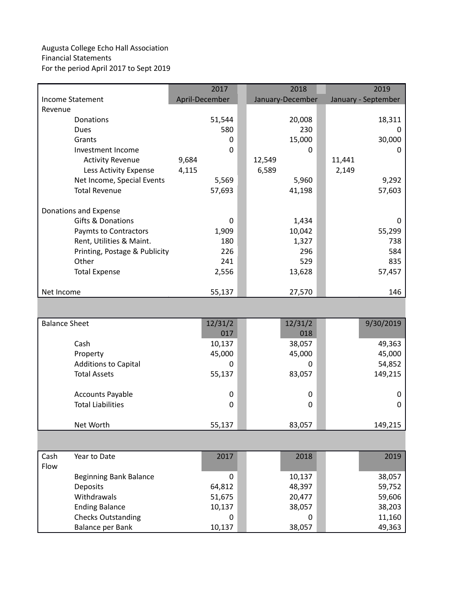#### Augusta College Echo Hall Association Financial Statements For the period April 2017 to Sept 2019

|                               | 2017           | 2018             | 2019                |
|-------------------------------|----------------|------------------|---------------------|
| <b>Income Statement</b>       | April-December | January-December | January - September |
| Revenue                       |                |                  |                     |
| Donations                     | 51,544         | 20,008           | 18,311              |
| Dues                          | 580            | 230              | 0                   |
| Grants                        | 0              | 15,000           | 30,000              |
| Investment Income             | 0              | 0                | 0                   |
| <b>Activity Revenue</b>       | 9,684          | 12,549           | 11,441              |
| Less Activity Expense         | 4,115          | 6,589            | 2,149               |
| Net Income, Special Events    | 5,569          | 5,960            | 9,292               |
| <b>Total Revenue</b>          | 57,693         | 41,198           | 57,603              |
| Donations and Expense         |                |                  |                     |
| Gifts & Donations             | 0              | 1,434            | 0                   |
| Paymts to Contractors         | 1,909          | 10,042           | 55,299              |
| Rent, Utilities & Maint.      | 180            | 1,327            | 738                 |
| Printing, Postage & Publicity | 226            | 296              | 584                 |
| Other                         | 241            | 529              | 835                 |
| <b>Total Expense</b>          | 2,556          | 13,628           | 57,457              |
| Net Income                    | 55,137         | 27,570           | 146                 |
|                               |                |                  |                     |
| <b>Balance Sheet</b>          | 12/31/2        | 12/31/2          | 9/30/2019           |
|                               | 017            | 018              |                     |
| Cash                          | 10,137         | 38,057           | 49,363              |
| Property                      | 45,000         | 45,000           | 45,000              |
| <b>Additions to Capital</b>   | 0              | 0                | 54,852              |
| <b>Total Assets</b>           | 55,137         | 83,057           | 149,215             |
| <b>Accounts Payable</b>       | 0              | 0                | 0                   |
| <b>Total Liabilities</b>      | 0              | 0                | 0                   |
| Net Worth                     | 55,137         | 83,057           | 149,215             |
|                               |                |                  |                     |
| Cash<br>Year to Date          | 2017           | 2018             | 2019                |
| Flow                          |                |                  |                     |
| <b>Beginning Bank Balance</b> | 0              | 10,137           | 38,057              |
| Deposits                      | 64,812         | 48,397           | 59,752              |
| Withdrawals                   | 51,675         | 20,477           | 59,606              |
| <b>Ending Balance</b>         | 10,137         | 38,057           | 38,203              |
| <b>Checks Outstanding</b>     | 0              | 0                | 11,160              |
| Balance per Bank              | 10,137         | 38,057           | 49,363              |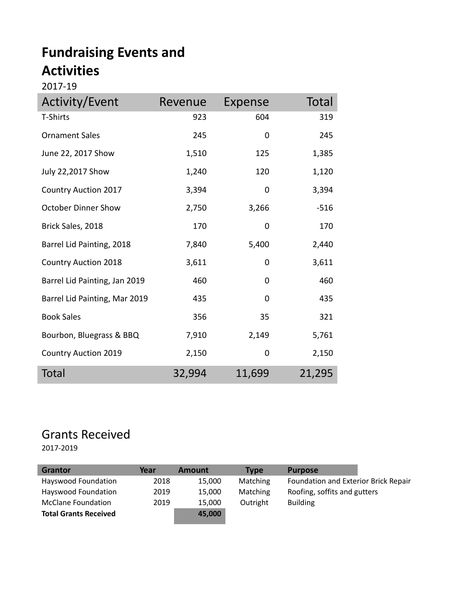# **Fundraising Events and Activities**

#### 2017-19

| Activity/Event                | Revenue | Expense | Total  |
|-------------------------------|---------|---------|--------|
| T-Shirts                      | 923     | 604     | 319    |
| <b>Ornament Sales</b>         | 245     | 0       | 245    |
| June 22, 2017 Show            | 1,510   | 125     | 1,385  |
| July 22,2017 Show             | 1,240   | 120     | 1,120  |
| <b>Country Auction 2017</b>   | 3,394   | 0       | 3,394  |
| <b>October Dinner Show</b>    | 2,750   | 3,266   | $-516$ |
| Brick Sales, 2018             | 170     | 0       | 170    |
| Barrel Lid Painting, 2018     | 7,840   | 5,400   | 2,440  |
| <b>Country Auction 2018</b>   | 3,611   | 0       | 3,611  |
| Barrel Lid Painting, Jan 2019 | 460     | 0       | 460    |
| Barrel Lid Painting, Mar 2019 | 435     | 0       | 435    |
| <b>Book Sales</b>             | 356     | 35      | 321    |
| Bourbon, Bluegrass & BBQ      | 7,910   | 2,149   | 5,761  |
| <b>Country Auction 2019</b>   | 2,150   | 0       | 2,150  |
| <b>Total</b>                  | 32,994  | 11,699  | 21,295 |

# Grants Received

2017-2019

| Year | <b>Amount</b> | <b>Type</b> | <b>Purpose</b>                       |
|------|---------------|-------------|--------------------------------------|
| 2018 | 15.000        | Matching    | Foundation and Exterior Brick Repair |
| 2019 | 15.000        | Matching    | Roofing, soffits and gutters         |
| 2019 | 15,000        | Outright    | <b>Building</b>                      |
|      | 45,000        |             |                                      |
|      |               |             |                                      |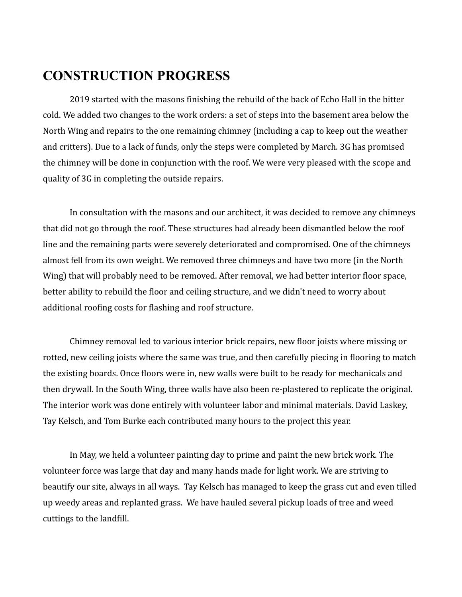## **CONSTRUCTION PROGRESS**

2019 started with the masons finishing the rebuild of the back of Echo Hall in the bitter cold. We added two changes to the work orders: a set of steps into the basement area below the North Wing and repairs to the one remaining chimney (including a cap to keep out the weather and critters). Due to a lack of funds, only the steps were completed by March. 3G has promised the chimney will be done in conjunction with the roof. We were very pleased with the scope and quality of 3G in completing the outside repairs.

In consultation with the masons and our architect, it was decided to remove any chimneys that did not go through the roof. These structures had already been dismantled below the roof line and the remaining parts were severely deteriorated and compromised. One of the chimneys almost fell from its own weight. We removed three chimneys and have two more (in the North Wing) that will probably need to be removed. After removal, we had better interior floor space, better ability to rebuild the floor and ceiling structure, and we didn't need to worry about additional roofing costs for flashing and roof structure.

Chimney removal led to various interior brick repairs, new floor joists where missing or rotted, new ceiling joists where the same was true, and then carefully piecing in flooring to match the existing boards. Once floors were in, new walls were built to be ready for mechanicals and then drywall. In the South Wing, three walls have also been re-plastered to replicate the original. The interior work was done entirely with volunteer labor and minimal materials. David Laskey, Tay Kelsch, and Tom Burke each contributed many hours to the project this year.

In May, we held a volunteer painting day to prime and paint the new brick work. The volunteer force was large that day and many hands made for light work. We are striving to beautify our site, always in all ways. Tay Kelsch has managed to keep the grass cut and even tilled up weedy areas and replanted grass. We have hauled several pickup loads of tree and weed cuttings to the landfill.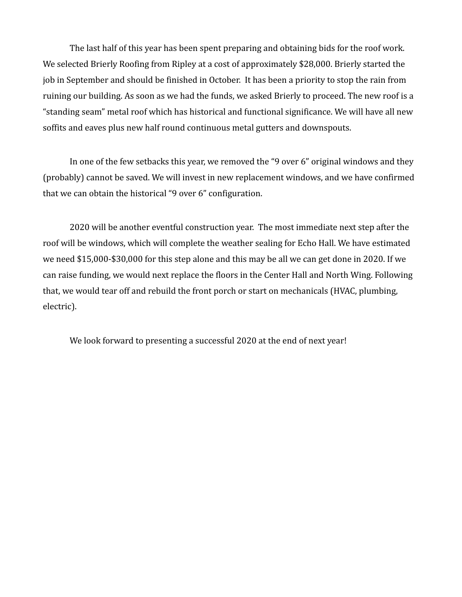The last half of this year has been spent preparing and obtaining bids for the roof work. We selected Brierly Roofing from Ripley at a cost of approximately \$28,000. Brierly started the job in September and should be finished in October. It has been a priority to stop the rain from ruining our building. As soon as we had the funds, we asked Brierly to proceed. The new roof is a "standing seam" metal roof which has historical and functional significance. We will have all new soffits and eaves plus new half round continuous metal gutters and downspouts.

In one of the few setbacks this year, we removed the "9 over 6" original windows and they (probably) cannot be saved. We will invest in new replacement windows, and we have confirmed that we can obtain the historical "9 over 6" configuration.

2020 will be another eventful construction year. The most immediate next step after the roof will be windows, which will complete the weather sealing for Echo Hall. We have estimated we need \$15,000-\$30,000 for this step alone and this may be all we can get done in 2020. If we can raise funding, we would next replace the floors in the Center Hall and North Wing. Following that, we would tear off and rebuild the front porch or start on mechanicals (HVAC, plumbing, electric).

We look forward to presenting a successful 2020 at the end of next year!